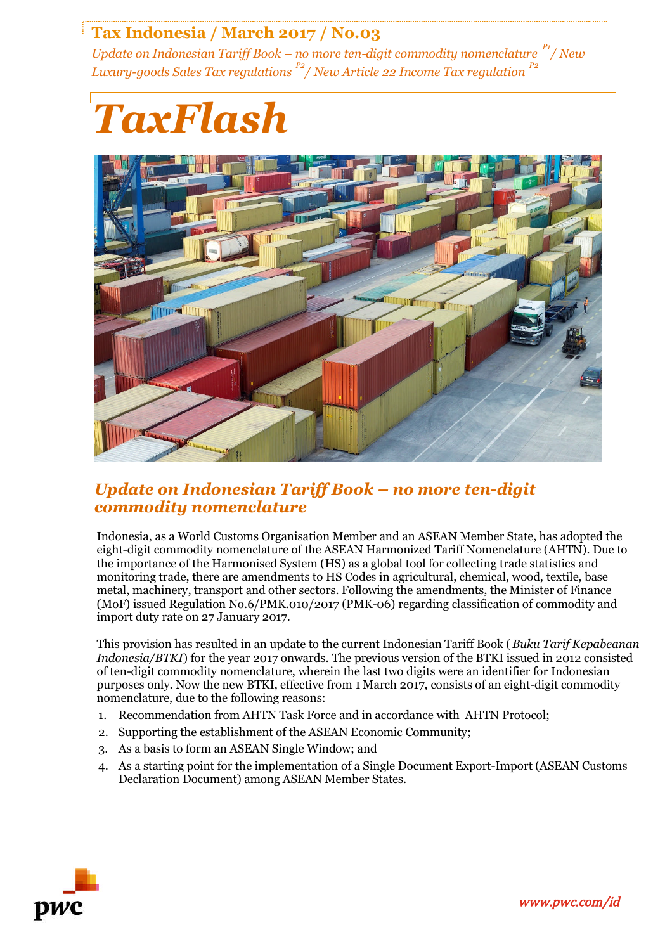# **Tax Indonesia / March 2017 / No.03**

*Update on Indonesian Tariff Book – no more ten-digit commodity nomenclature P1/ New Luxury-goods Sales Tax regulations P2/ New Article 22 Income Tax regulation P2*

# *TaxFlash*



# *Update on Indonesian Tariff Book – no more ten-digit commodity nomenclature*

Indonesia, as a World Customs Organisation Member and an ASEAN Member State, has adopted the eight-digit commodity nomenclature of the ASEAN Harmonized Tariff Nomenclature (AHTN). Due to the importance of the Harmonised System (HS) as a global tool for collecting trade statistics and monitoring trade, there are amendments to HS Codes in agricultural, chemical, wood, textile, base metal, machinery, transport and other sectors. Following the amendments, the Minister of Finance (MoF) issued Regulation No.6/PMK.010/2017 (PMK-06) regarding classification of commodity and import duty rate on 27 January 2017.

This provision has resulted in an update to the current Indonesian Tariff Book (*Buku Tarif Kepabeanan Indonesia/BTKI*) for the year 2017 onwards. The previous version of the BTKI issued in 2012 consisted of ten-digit commodity nomenclature, wherein the last two digits were an identifier for Indonesian purposes only. Now the new BTKI, effective from 1 March 2017, consists of an eight-digit commodity nomenclature, due to the following reasons:

- 1. Recommendation from AHTN Task Force and in accordance with AHTN Protocol;
- 2. Supporting the establishment of the ASEAN Economic Community;
- 3. As a basis to form an ASEAN Single Window; and
- 4. As a starting point for the implementation of a Single Document Export-Import (ASEAN Customs Declaration Document) among ASEAN Member States.

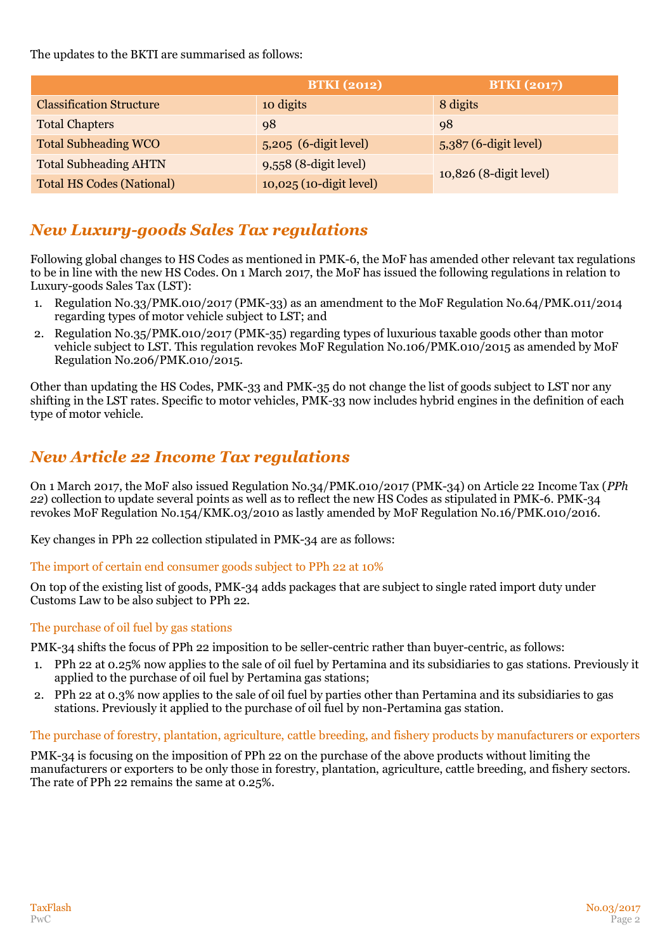The updates to the BKTI are summarised as follows:

|                                  | <b>BTKI</b> (2012)      | <b>BTKI</b> (2017)      |
|----------------------------------|-------------------------|-------------------------|
| <b>Classification Structure</b>  | 10 digits               | 8 digits                |
| <b>Total Chapters</b>            | 98                      | 98                      |
| <b>Total Subheading WCO</b>      | $5,205$ (6-digit level) | $5,387$ (6-digit level) |
| <b>Total Subheading AHTN</b>     | $9,558$ (8-digit level) | 10,826 (8-digit level)  |
| <b>Total HS Codes (National)</b> | 10,025 (10-digit level) |                         |

# *New Luxury-goods Sales Tax regulations*

Following global changes to HS Codes as mentioned in PMK-6, the MoF has amended other relevant tax regulations to be in line with the new HS Codes. On 1 March 2017, the MoF has issued the following regulations in relation to Luxury-goods Sales Tax (LST):

- 1. Regulation No.33/PMK.010/2017 (PMK-33) as an amendment to the MoF Regulation No.64/PMK.011/2014 regarding types of motor vehicle subject to LST; and
- 2. Regulation No.35/PMK.010/2017 (PMK-35) regarding types of luxurious taxable goods other than motor vehicle subject to LST. This regulation revokes MoF Regulation No.106/PMK.010/2015 as amended by MoF Regulation No.206/PMK.010/2015.

Other than updating the HS Codes, PMK-33 and PMK-35 do not change the list of goods subject to LST nor any shifting in the LST rates. Specific to motor vehicles, PMK-33 now includes hybrid engines in the definition of each type of motor vehicle.

# *New Article 22 Income Tax regulations*

On 1 March 2017, the MoF also issued Regulation No.34/PMK.010/2017 (PMK-34) on Article 22 Income Tax (*PPh 22*) collection to update several points as well as to reflect the new HS Codes as stipulated in PMK-6. PMK-34 revokes MoF Regulation No.154/KMK.03/2010 as lastly amended by MoF Regulation No.16/PMK.010/2016.

Key changes in PPh 22 collection stipulated in PMK-34 are as follows:

## The import of certain end consumer goods subject to PPh 22 at 10%

On top of the existing list of goods, PMK-34 adds packages that are subject to single rated import duty under Customs Law to be also subject to PPh 22.

## The purchase of oil fuel by gas stations

PMK-34 shifts the focus of PPh 22 imposition to be seller-centric rather than buyer-centric, as follows:

- 1. PPh 22 at 0.25% now applies to the sale of oil fuel by Pertamina and its subsidiaries to gas stations. Previously it applied to the purchase of oil fuel by Pertamina gas stations;
- 2. PPh 22 at 0.3% now applies to the sale of oil fuel by parties other than Pertamina and its subsidiaries to gas stations. Previously it applied to the purchase of oil fuel by non-Pertamina gas station.

## The purchase of forestry, plantation, agriculture, cattle breeding, and fishery products by manufacturers or exporters

PMK-34 is focusing on the imposition of PPh 22 on the purchase of the above products without limiting the manufacturers or exporters to be only those in forestry, plantation, agriculture, cattle breeding, and fishery sectors. The rate of PPh 22 remains the same at 0.25%.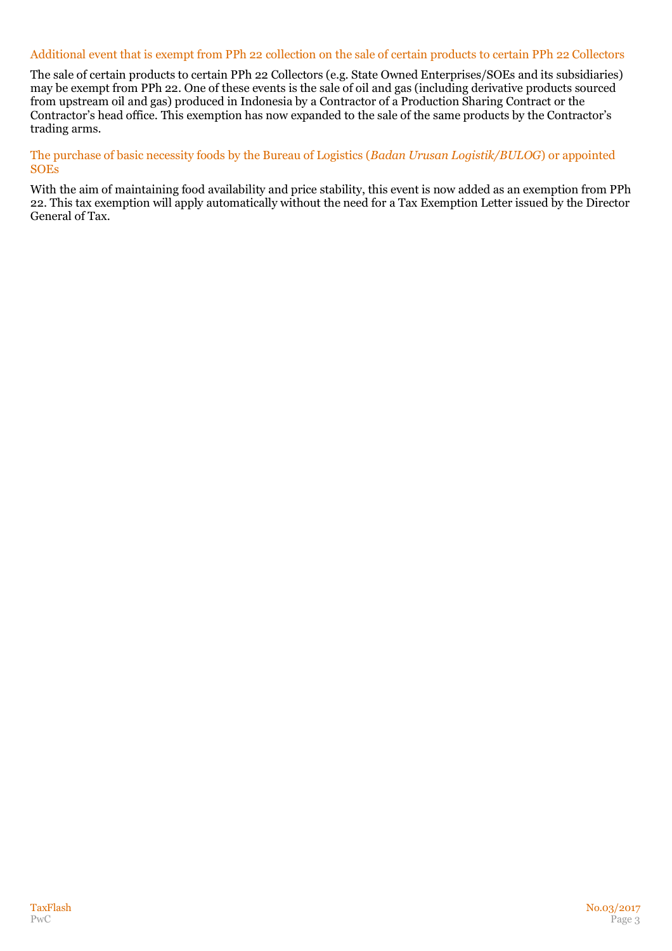### Additional event that is exempt from PPh 22 collection on the sale of certain products to certain PPh 22 Collectors

The sale of certain products to certain PPh 22 Collectors (e.g. State Owned Enterprises/SOEs and its subsidiaries) may be exempt from PPh 22. One of these events is the sale of oil and gas (including derivative products sourced from upstream oil and gas) produced in Indonesia by a Contractor of a Production Sharing Contract or the Contractor's head office. This exemption has now expanded to the sale of the same products by the Contractor's trading arms.

The purchase of basic necessity foods by the Bureau of Logistics (*Badan Urusan Logistik/BULOG*) or appointed **SOEs** 

With the aim of maintaining food availability and price stability, this event is now added as an exemption from PPh 22. This tax exemption will apply automatically without the need for a Tax Exemption Letter issued by the Director General of Tax.